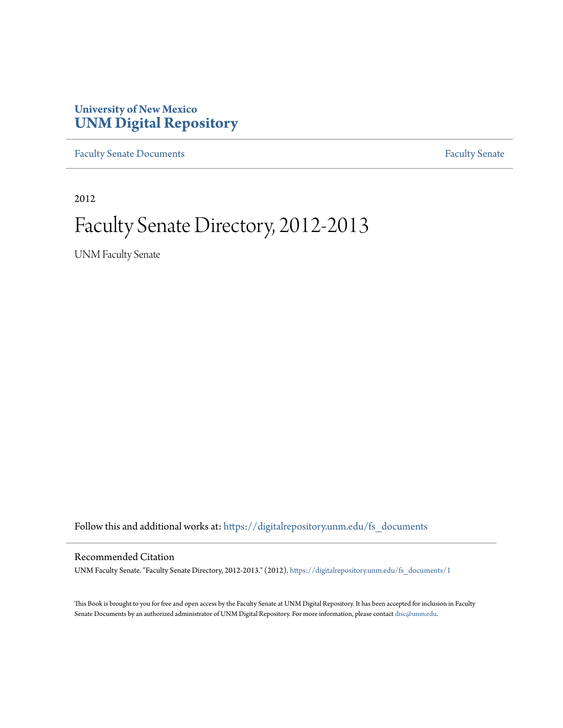### **University of New Mexico [UNM Digital Repository](https://digitalrepository.unm.edu?utm_source=digitalrepository.unm.edu%2Ffs_documents%2F1&utm_medium=PDF&utm_campaign=PDFCoverPages)**

[Faculty Senate Documents](https://digitalrepository.unm.edu/fs_documents?utm_source=digitalrepository.unm.edu%2Ffs_documents%2F1&utm_medium=PDF&utm_campaign=PDFCoverPages) **[Faculty Senate](https://digitalrepository.unm.edu/faculty_senate?utm_source=digitalrepository.unm.edu%2Ffs_documents%2F1&utm_medium=PDF&utm_campaign=PDFCoverPages)** Procuments **Faculty** Senate

2012

# Faculty Senate Directory, 2012-2013

UNM Faculty Senate

Follow this and additional works at: [https://digitalrepository.unm.edu/fs\\_documents](https://digitalrepository.unm.edu/fs_documents?utm_source=digitalrepository.unm.edu%2Ffs_documents%2F1&utm_medium=PDF&utm_campaign=PDFCoverPages)

#### Recommended Citation

UNM Faculty Senate. "Faculty Senate Directory, 2012-2013." (2012). [https://digitalrepository.unm.edu/fs\\_documents/1](https://digitalrepository.unm.edu/fs_documents/1?utm_source=digitalrepository.unm.edu%2Ffs_documents%2F1&utm_medium=PDF&utm_campaign=PDFCoverPages)

This Book is brought to you for free and open access by the Faculty Senate at UNM Digital Repository. It has been accepted for inclusion in Faculty Senate Documents by an authorized administrator of UNM Digital Repository. For more information, please contact [disc@unm.edu.](mailto:disc@unm.edu)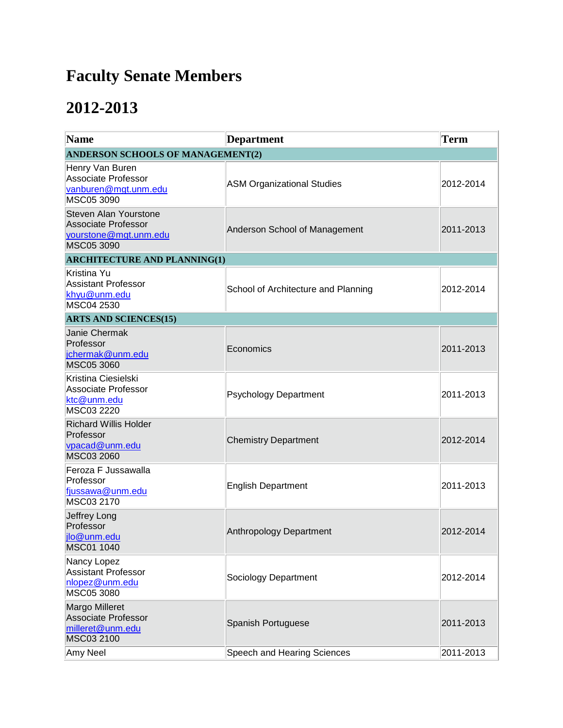## **Faculty Senate Members**

### **2012-2013**

| <b>Name</b>                                                                                | <b>Department</b>                   | <b>Term</b> |  |
|--------------------------------------------------------------------------------------------|-------------------------------------|-------------|--|
| ANDERSON SCHOOLS OF MANAGEMENT(2)                                                          |                                     |             |  |
| Henry Van Buren<br>Associate Professor<br>vanburen@mgt.unm.edu<br>MSC05 3090               | <b>ASM Organizational Studies</b>   | 2012-2014   |  |
| Steven Alan Yourstone<br><b>Associate Professor</b><br>yourstone@mgt.unm.edu<br>MSC05 3090 | Anderson School of Management       | 2011-2013   |  |
| <b>ARCHITECTURE AND PLANNING(1)</b>                                                        |                                     |             |  |
| Kristina Yu<br><b>Assistant Professor</b><br>khyu@unm.edu<br>MSC04 2530                    | School of Architecture and Planning | 2012-2014   |  |
| <b>ARTS AND SCIENCES(15)</b>                                                               |                                     |             |  |
| Janie Chermak<br>Professor<br>jchermak@unm.edu<br>MSC05 3060                               | Economics                           | 2011-2013   |  |
| Kristina Ciesielski<br><b>Associate Professor</b><br>ktc@unm.edu<br>MSC03 2220             | <b>Psychology Department</b>        | 2011-2013   |  |
| <b>Richard Willis Holder</b><br>Professor<br>vpacad@unm.edu<br>MSC03 2060                  | <b>Chemistry Department</b>         | 2012-2014   |  |
| Feroza F Jussawalla<br>Professor<br>fjussawa@unm.edu<br>MSC03 2170                         | <b>English Department</b>           | 2011-2013   |  |
| Jeffrey Long<br>Professor<br>jlo@unm.edu<br>MSC01 1040                                     | Anthropology Department             | 2012-2014   |  |
| Nancy Lopez<br><b>Assistant Professor</b><br>nlopez@unm.edu<br>MSC05 3080                  | Sociology Department                | 2012-2014   |  |
| Margo Milleret<br>Associate Professor<br>milleret@unm.edu<br>MSC03 2100                    | Spanish Portuguese                  | 2011-2013   |  |
| Amy Neel                                                                                   | Speech and Hearing Sciences         | 2011-2013   |  |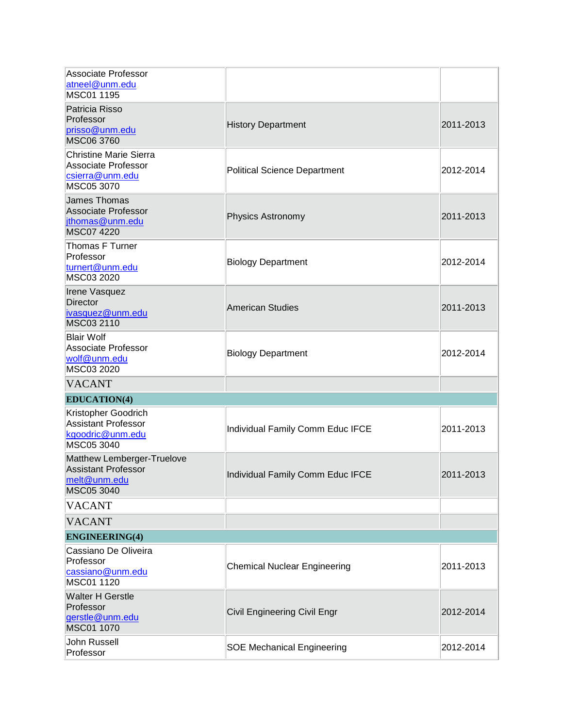| <b>Associate Professor</b><br>atneel@unm.edu<br>MSC01 1195                                   |                                     |           |
|----------------------------------------------------------------------------------------------|-------------------------------------|-----------|
| Patricia Risso<br>Professor<br>prisso@unm.edu<br>MSC06 3760                                  | <b>History Department</b>           | 2011-2013 |
| <b>Christine Marie Sierra</b><br><b>Associate Professor</b><br>csierra@unm.edu<br>MSC05 3070 | <b>Political Science Department</b> | 2012-2014 |
| <b>James Thomas</b><br><b>Associate Professor</b><br>jthomas@unm.edu<br>MSC07 4220           | Physics Astronomy                   | 2011-2013 |
| Thomas F Turner<br>Professor<br>turnert@unm.edu<br>MSC03 2020                                | <b>Biology Department</b>           | 2012-2014 |
| Irene Vasquez<br><b>Director</b><br>ivasquez@unm.edu<br>MSC03 2110                           | American Studies                    | 2011-2013 |
| <b>Blair Wolf</b><br><b>Associate Professor</b><br>wolf@unm.edu<br>MSC03 2020                | <b>Biology Department</b>           | 2012-2014 |
| <b>VACANT</b>                                                                                |                                     |           |
| <b>EDUCATION(4)</b>                                                                          |                                     |           |
| Kristopher Goodrich<br><b>Assistant Professor</b><br>kgoodric@unm.edu<br>MSC05 3040          | Individual Family Comm Educ IFCE    | 2011-2013 |
| Matthew Lemberger-Truelove<br><b>Assistant Professor</b><br>melt@unm.edu<br>MSC05 3040       | Individual Family Comm Educ IFCE    | 2011-2013 |
| <b>VACANT</b>                                                                                |                                     |           |
| <b>VACANT</b>                                                                                |                                     |           |
| <b>ENGINEERING(4)</b>                                                                        |                                     |           |
| Cassiano De Oliveira<br>Professor<br>cassiano@unm.edu<br>MSC01 1120                          | <b>Chemical Nuclear Engineering</b> | 2011-2013 |
| <b>Walter H Gerstle</b><br>Professor<br>gerstle@unm.edu<br>MSC01 1070                        | Civil Engineering Civil Engr        | 2012-2014 |
| John Russell<br>Professor                                                                    | <b>SOE Mechanical Engineering</b>   | 2012-2014 |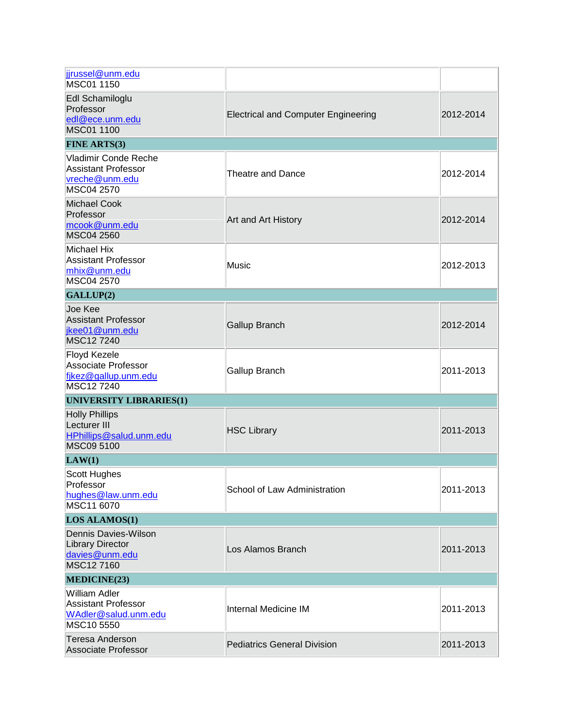| jjrussel@unm.edu<br>MSC01 1150                                                            |                                            |           |
|-------------------------------------------------------------------------------------------|--------------------------------------------|-----------|
| Edl Schamiloglu<br>Professor<br>edl@ece.unm.edu<br>MSC01 1100                             | <b>Electrical and Computer Engineering</b> | 2012-2014 |
| <b>FINE ARTS(3)</b>                                                                       |                                            |           |
| <b>Vladimir Conde Reche</b><br><b>Assistant Professor</b><br>vreche@unm.edu<br>MSC04 2570 | <b>Theatre and Dance</b>                   | 2012-2014 |
| <b>Michael Cook</b><br>Professor<br>mcook@unm.edu<br>MSC04 2560                           | Art and Art History                        | 2012-2014 |
| Michael Hix<br><b>Assistant Professor</b><br>mhix@unm.edu<br>MSC04 2570                   | Music                                      | 2012-2013 |
| GALLUP(2)                                                                                 |                                            |           |
| Joe Kee<br><b>Assistant Professor</b><br>jkee01@unm.edu<br>MSC127240                      | <b>Gallup Branch</b>                       | 2012-2014 |
| <b>Floyd Kezele</b><br>Associate Professor<br>fikez@gallup.unm.edu<br>MSC127240           | Gallup Branch                              | 2011-2013 |
| <b>UNIVERSITY LIBRARIES(1)</b>                                                            |                                            |           |
| <b>Holly Phillips</b><br>Lecturer III<br>HPhillips@salud.unm.edu<br>MSC09 5100            | <b>HSC Library</b>                         | 2011-2013 |
| LAW(1)                                                                                    |                                            |           |
| <b>Scott Hughes</b><br>Professor<br>hughes@law.unm.edu<br>MSC11 6070                      | School of Law Administration               | 2011-2013 |
| <b>LOS ALAMOS(1)</b>                                                                      |                                            |           |
| Dennis Davies-Wilson<br><b>Library Director</b><br>davies@unm.edu<br>MSC12 7160           | Los Alamos Branch                          | 2011-2013 |
| MEDICINE(23)                                                                              |                                            |           |
| William Adler<br><b>Assistant Professor</b><br>WAdler@salud.unm.edu<br>MSC10 5550         | Internal Medicine IM                       | 2011-2013 |
| <b>Teresa Anderson</b><br>Associate Professor                                             | <b>Pediatrics General Division</b>         | 2011-2013 |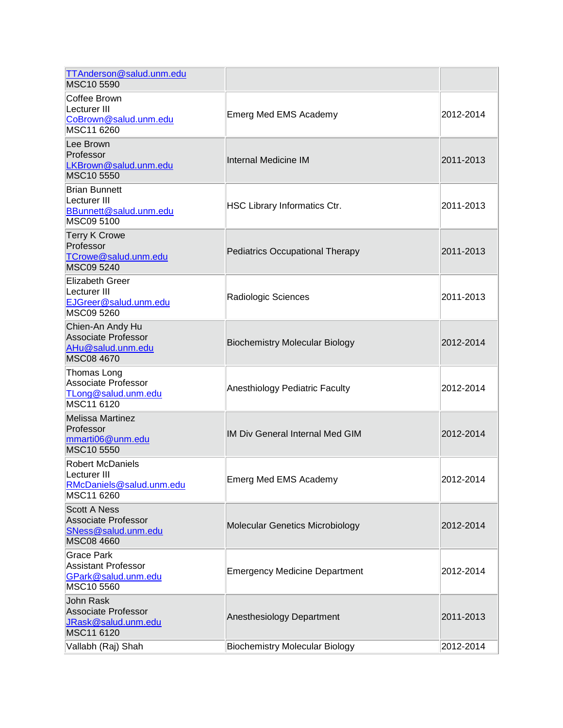| TTAnderson@salud.unm.edu<br>MSC10 5590                                                        |                                        |           |
|-----------------------------------------------------------------------------------------------|----------------------------------------|-----------|
| Coffee Brown<br>Lecturer III<br>CoBrown@salud.unm.edu<br>MSC11 6260                           | Emerg Med EMS Academy                  | 2012-2014 |
| Lee Brown<br>Professor<br>LKBrown@salud.unm.edu<br>MSC10 5550                                 | <b>Internal Medicine IM</b>            | 2011-2013 |
| <b>Brian Bunnett</b><br>Lecturer III<br>BBunnett@salud.unm.edu<br>MSC09 5100                  | HSC Library Informatics Ctr.           | 2011-2013 |
| <b>Terry K Crowe</b><br>Professor<br>TCrowe@salud.unm.edu<br>MSC09 5240                       | Pediatrics Occupational Therapy        | 2011-2013 |
| <b>Elizabeth Greer</b><br>Lecturer III<br>EJGreer@salud.unm.edu<br>MSC09 5260                 | Radiologic Sciences                    | 2011-2013 |
| Chien-An Andy Hu<br>Associate Professor<br>AHu@salud.unm.edu<br><b>MSC08 4670</b>             | <b>Biochemistry Molecular Biology</b>  | 2012-2014 |
| Thomas Long<br><b>Associate Professor</b><br>TLong@salud.unm.edu<br>MSC11 6120                | Anesthiology Pediatric Faculty         | 2012-2014 |
| <b>Melissa Martinez</b><br>Professor<br>mmarti06@unm.edu<br>MSC10 5550                        | IM Div General Internal Med GIM        | 2012-2014 |
| <b>Robert McDaniels</b><br>Lecturer III<br>RMcDaniels@salud.unm.edu<br>MSC11 6260             | <b>Emerg Med EMS Academy</b>           | 2012-2014 |
| <b>Scott A Ness</b><br><b>Associate Professor</b><br>SNess@salud.unm.edu<br><b>MSC08 4660</b> | <b>Molecular Genetics Microbiology</b> | 2012-2014 |
| <b>Grace Park</b><br><b>Assistant Professor</b><br>GPark@salud.unm.edu<br>MSC10 5560          | <b>Emergency Medicine Department</b>   | 2012-2014 |
| John Rask<br>Associate Professor<br>JRask@salud.unm.edu<br>MSC11 6120                         | Anesthesiology Department              | 2011-2013 |
| Vallabh (Raj) Shah                                                                            | <b>Biochemistry Molecular Biology</b>  | 2012-2014 |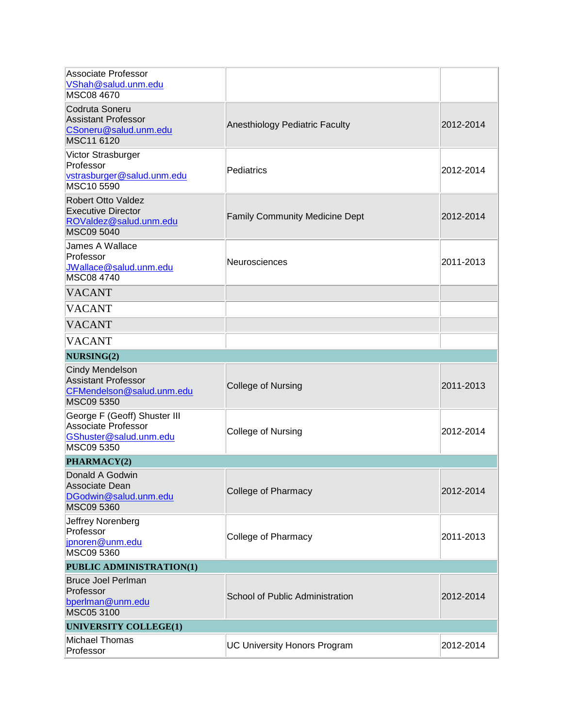| <b>Associate Professor</b><br>VShah@salud.unm.edu<br>MSC08 4670                                    |                                       |           |
|----------------------------------------------------------------------------------------------------|---------------------------------------|-----------|
| Codruta Soneru<br><b>Assistant Professor</b><br>CSoneru@salud.unm.edu<br>MSC11 6120                | Anesthiology Pediatric Faculty        | 2012-2014 |
| Victor Strasburger<br>Professor<br>vstrasburger@salud.unm.edu<br>MSC10 5590                        | Pediatrics                            | 2012-2014 |
| <b>Robert Otto Valdez</b><br><b>Executive Director</b><br>ROValdez@salud.unm.edu<br>MSC09 5040     | <b>Family Community Medicine Dept</b> | 2012-2014 |
| James A Wallace<br>Professor<br>JWallace@salud.unm.edu<br>MSC08 4740                               | Neurosciences                         | 2011-2013 |
| <b>VACANT</b>                                                                                      |                                       |           |
| <b>VACANT</b>                                                                                      |                                       |           |
| <b>VACANT</b>                                                                                      |                                       |           |
| <b>VACANT</b>                                                                                      |                                       |           |
| NURSING(2)                                                                                         |                                       |           |
| Cindy Mendelson<br><b>Assistant Professor</b><br>CFMendelson@salud.unm.edu<br>MSC09 5350           | <b>College of Nursing</b>             | 2011-2013 |
| George F (Geoff) Shuster III<br><b>Associate Professor</b><br>GShuster@salud.unm.edu<br>MSC09 5350 | College of Nursing                    | 2012-2014 |
| PHARMACY(2)                                                                                        |                                       |           |
| Donald A Godwin<br>Associate Dean<br>DGodwin@salud.unm.edu                                         |                                       |           |
| MSC09 5360                                                                                         | <b>College of Pharmacy</b>            | 2012-2014 |
| Jeffrey Norenberg<br>Professor<br>jpnoren@unm.edu<br>MSC09 5360                                    | <b>College of Pharmacy</b>            | 2011-2013 |
| PUBLIC ADMINISTRATION(1)                                                                           |                                       |           |
| <b>Bruce Joel Perlman</b><br>Professor<br>bperlman@unm.edu<br>MSC05 3100                           | School of Public Administration       | 2012-2014 |
| <b>UNIVERSITY COLLEGE(1)</b><br><b>Michael Thomas</b>                                              |                                       |           |